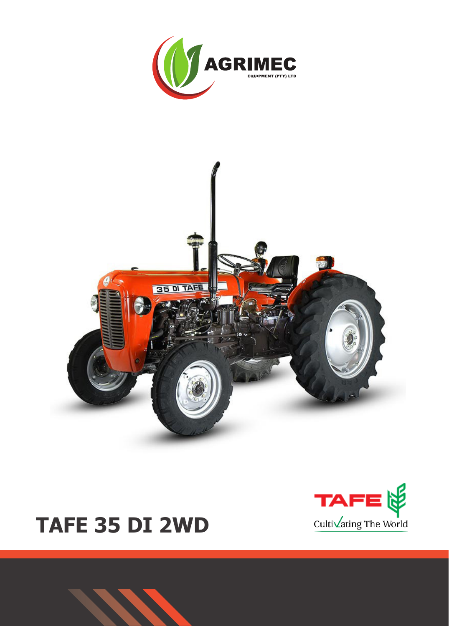



# TAFE 35 DI 2WD